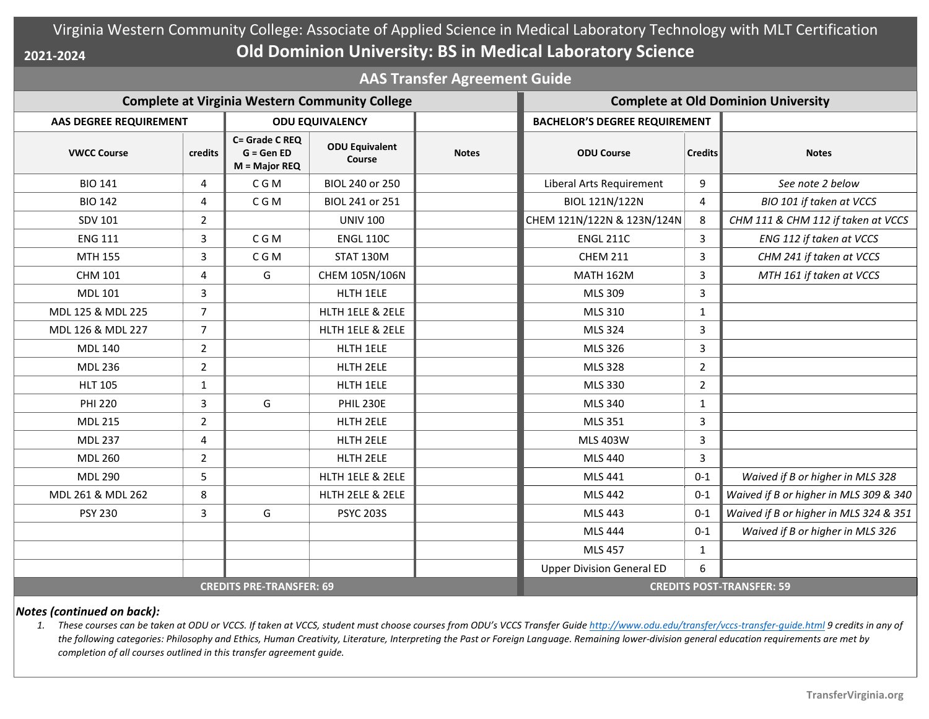## Virginia Western Community College: Associate of Applied Science in Medical Laboratory Technology with MLT Certification **Old Dominion University: BS in Medical Laboratory Science 2021-2024**

**AAS Transfer Agreement Guide**

| <b>Complete at Virginia Western Community College</b> |                |                                                  |                                 |              | <b>Complete at Old Dominion University</b> |                |                                        |
|-------------------------------------------------------|----------------|--------------------------------------------------|---------------------------------|--------------|--------------------------------------------|----------------|----------------------------------------|
| <b>AAS DEGREE REQUIREMENT</b>                         |                | <b>ODU EQUIVALENCY</b>                           |                                 |              | <b>BACHELOR'S DEGREE REQUIREMENT</b>       |                |                                        |
| <b>VWCC Course</b>                                    | credits        | C= Grade C REQ<br>$G = GenED$<br>$M = Major REQ$ | <b>ODU Equivalent</b><br>Course | <b>Notes</b> | <b>ODU Course</b>                          | <b>Credits</b> | <b>Notes</b>                           |
| <b>BIO 141</b>                                        | 4              | C G M                                            | BIOL 240 or 250                 |              | Liberal Arts Requirement                   | 9              | See note 2 below                       |
| <b>BIO 142</b>                                        | $\overline{4}$ | C G M                                            | BIOL 241 or 251                 |              | BIOL 121N/122N                             | 4              | BIO 101 if taken at VCCS               |
| <b>SDV 101</b>                                        | $\overline{2}$ |                                                  | <b>UNIV 100</b>                 |              | CHEM 121N/122N & 123N/124N                 | 8              | CHM 111 & CHM 112 if taken at VCCS     |
| <b>ENG 111</b>                                        | 3              | C G M                                            | <b>ENGL 110C</b>                |              | <b>ENGL 211C</b>                           | 3              | ENG 112 if taken at VCCS               |
| MTH 155                                               | 3              | C G M                                            | <b>STAT 130M</b>                |              | <b>CHEM 211</b>                            | 3              | CHM 241 if taken at VCCS               |
| <b>CHM 101</b>                                        | $\overline{4}$ | G                                                | CHEM 105N/106N                  |              | <b>MATH 162M</b>                           | 3              | MTH 161 if taken at VCCS               |
| <b>MDL 101</b>                                        | $\overline{3}$ |                                                  | HLTH 1ELE                       |              | MLS 309                                    | 3              |                                        |
| MDL 125 & MDL 225                                     | $\overline{7}$ |                                                  | HLTH 1ELE & 2ELE                |              | MLS 310                                    | $\mathbf{1}$   |                                        |
| MDL 126 & MDL 227                                     | $\overline{7}$ |                                                  | HLTH 1ELE & 2ELE                |              | MLS 324                                    | 3              |                                        |
| <b>MDL 140</b>                                        | $\overline{2}$ |                                                  | HLTH 1ELE                       |              | MLS 326                                    | 3              |                                        |
| <b>MDL 236</b>                                        | $\overline{2}$ |                                                  | HLTH 2ELE                       |              | MLS 328                                    | $\overline{2}$ |                                        |
| <b>HLT 105</b>                                        | 1              |                                                  | HLTH 1ELE                       |              | MLS 330                                    | $\overline{2}$ |                                        |
| <b>PHI 220</b>                                        | 3              | G                                                | <b>PHIL 230E</b>                |              | MLS 340                                    | $\mathbf{1}$   |                                        |
| <b>MDL 215</b>                                        | $\overline{2}$ |                                                  | HLTH 2ELE                       |              | MLS 351                                    | 3              |                                        |
| <b>MDL 237</b>                                        | $\overline{4}$ |                                                  | HLTH 2ELE                       |              | <b>MLS 403W</b>                            | 3              |                                        |
| <b>MDL 260</b>                                        | $\overline{2}$ |                                                  | HLTH 2ELE                       |              | MLS 440                                    | 3              |                                        |
| <b>MDL 290</b>                                        | 5              |                                                  | HLTH 1ELE & 2ELE                |              | MLS 441                                    | $0 - 1$        | Waived if B or higher in MLS 328       |
| MDL 261 & MDL 262                                     | 8              |                                                  | HLTH 2ELE & 2ELE                |              | <b>MLS 442</b>                             | $0 - 1$        | Waived if B or higher in MLS 309 & 340 |
| <b>PSY 230</b>                                        | $\mathbf{3}$   | G                                                | <b>PSYC 203S</b>                |              | MLS 443                                    | $0 - 1$        | Waived if B or higher in MLS 324 & 351 |
|                                                       |                |                                                  |                                 |              | MLS 444                                    | $0 - 1$        | Waived if B or higher in MLS 326       |
|                                                       |                |                                                  |                                 |              | <b>MLS 457</b>                             | $\mathbf{1}$   |                                        |
|                                                       |                |                                                  |                                 |              | <b>Upper Division General ED</b>           | 6              |                                        |
| <b>CREDITS PRE-TRANSFER: 69</b>                       |                |                                                  |                                 |              | <b>CREDITS POST-TRANSFER: 59</b>           |                |                                        |

## *Notes (continued on back):*

1. These courses can be taken at ODU or VCCS. If taken at VCCS, student must choose courses from ODU's VCCS Transfer Guide http://www.odu.edu/transfer/vccs-transfer-quide.html 9 credits in any of *the following categories: Philosophy and Ethics, Human Creativity, Literature, Interpreting the Past or Foreign Language. Remaining lower-division general education requirements are met by completion of all courses outlined in this transfer agreement guide.*